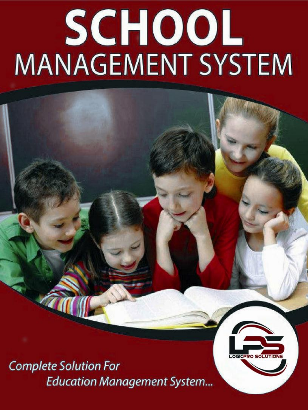# SCHOOL **MANAGEMENT SYSTEM**

**Complete Solution For Education Management System...** 

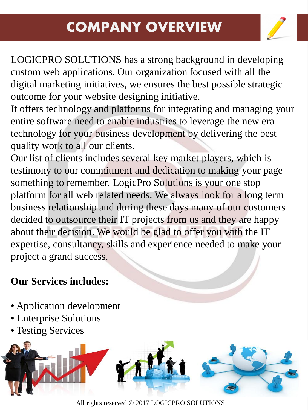## **COMPANY OVERVIEW**



LOGICPRO SOLUTIONS has a strong background in developing custom web applications. Our organization focused with all the digital marketing initiatives, we ensures the best possible strategic outcome for your website designing initiative.

It offers technology and platforms for integrating and managing your entire software need to enable industries to leverage the new era technology for your business development by delivering the best quality work to all our clients.

Our list of clients includes several key market players, which is testimony to our commitment and dedication to making your page something to remember. LogicPro Solutions is your one stop platform for all web related needs. We always look for a long term business relationship and during these days many of our customers decided to outsource their IT projects from us and they are happy about their decision. We would be glad to offer you with the IT expertise, consultancy, skills and experience needed to make your project a grand success.

#### **Our Services includes:**

- Application development
- Enterprise Solutions
- Testing Services



All rights reserved © 2017 LOGICPRO SOLUTIONS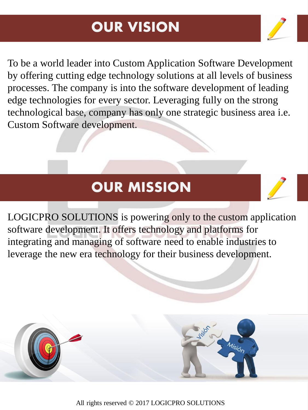## **OUR VISION**

To be a world leader into Custom Application Software Development by offering cutting edge technology solutions at all levels of business processes. The company is into the software development of leading edge technologies for every sector. Leveraging fully on the strong technological base, company has only one strategic business area i.e. Custom Software development.

## **OUR MISSION**

LOGICPRO SOLUTIONS is powering only to the custom application software development. It offers technology and platforms for integrating and managing of software need to enable industries to leverage the new era technology for their business development.

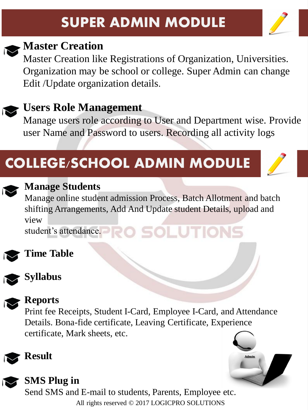## **SUPER ADMIN MODULE**





### **Master Creation**

Master Creation like Registrations of Organization, Universities. Organization may be school or college. Super Admin can change Edit /Update organization details.

## **Users Role Management**

Manage users role according to User and Department wise. Provide user Name and Password to users. Recording all activity logs

## **COLLEGE/SCHOOL ADMIN MODULE**



#### **Manage Students**

Manage online student admission Process, Batch Allotment and batch shifting Arrangements, Add And Update student Details, upload and view student's attendance. **ROSOLUTIONS** 



#### **Time Table**



#### **Syllabus**



#### **Reports**

Print fee Receipts, Student I-Card, Employee I-Card, and Attendance Details. Bona-fide certificate, Leaving Certificate, Experience certificate, Mark sheets, etc.





#### **SMS Plug in**

All rights reserved © 2017 LOGICPRO SOLUTIONS Send SMS and E-mail to students, Parents, Employee etc.

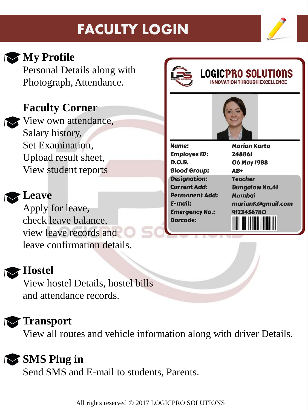## **FACULTY LOGIN**



**My Profile** 

Personal Details along with Photograph, Attendance.

## **Faculty Corner**

View own attendance, Salary history, Set Examination, Upload result sheet, View student reports

#### **Leave**

Apply for leave, check leave balance, view leave records and leave confirmation details.

## **Hostel**

View hostel Details, hostel bills and attendance records.

## **Transport**

View all routes and vehicle information along with driver Details.

## **SMS Plug in**

Send SMS and E-mail to students, Parents.





## **LOGICPRO SOLUTIONS**

Name: **Employee ID:** D.O.B. **Blood Group: Desianation: Current Add: Permanent Add:** E-mail: **Emergency No.: Barcode:** 

**Marian Karta** 248861 **06 May 1988**  $AB+$ **Teacher Bungalow No.41 Mumbai** marianK@gmail.com 9123456780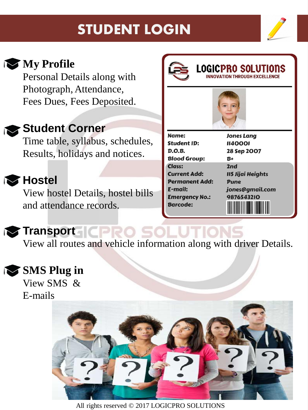## **STUDENT LOGIN**





## **My Profile**

Personal Details along with Photograph, Attendance, Fees Dues, Fees Deposited.

## **Student Corner**

Time table, syllabus, schedules, Results, holidays and notices.

## **Hostel**

View hostel Details, hostel bills and attendance records.





**Jones Lang** 



Name: **Student ID:**  $D.O.B.$ **Blood Group: Class: Current Add: Permanent Add:** E-mail: **Emergency No.: Barcode:** 

**1140001** 28 Sep 2007 B+  $2nd$ **II5 Jijai Heights Pune** jones@gmail.com 9876543210

## **Transport**  $\begin{array}{|c|c|}\n\hline\n\end{array}$

View all routes and vehicle information along with driver Details.

## **SMS** Plug in

View SMS & E-mails

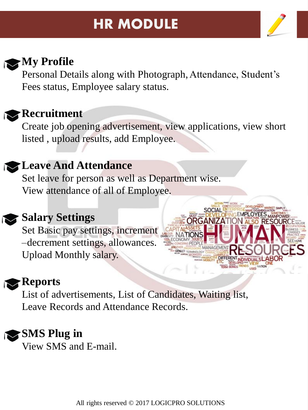## **HR MODULE**



## **My Profile**

Personal Details along with Photograph, Attendance, Student's Fees status, Employee salary status.



#### **Recruitment**

Create job opening advertisement, view applications, view short listed , upload results, add Employee.

### **Leave And Attendance**

Set leave for person as well as Department wise. View attendance of all of Employee.



#### **Salary Settings**

Set Basic pay settings, increment –decrement settings, allowances. Upload Monthly salary.

## **Reports**

List of advertisements, List of Candidates, Waiting list, Leave Records and Attendance Records.

## **SMS Plug in**

View SMS and E-mail.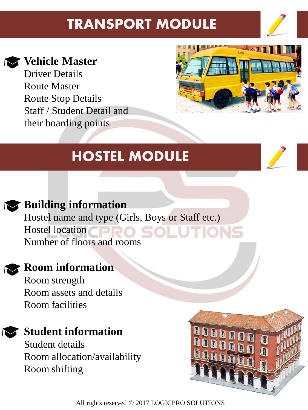## **TRANSPORT MODULE**



#### **Vehicle Master**

Driver Details Route Master Route Stop Details Staff / Student Detail and their boarding points



## **HOSTEL MODULE**



## **Building information**

Hostel name and type (Girls, Boys or Staff etc.) Hostel location Number of floors and rooms

#### **Room information**

Room strength Room assets and details Room facilities

## **Student information**

Student details Room allocation/availability Room shifting

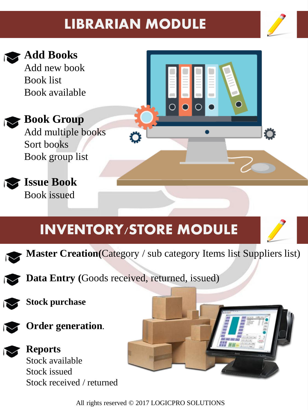## **LIBRARIAN MODULE**



O



## **Add Books**

Add new book Book list Book available

**Book Group** Add multiple books Sort books Book group list



## **Issue Book** Book issued

## **INVENTORY/STORE MODULE**



**Master Creation(**Category / sub category Items list Suppliers list)



**Data Entry (**Goods received, returned, issued)







**Reports** Stock available Stock issued Stock received / returned

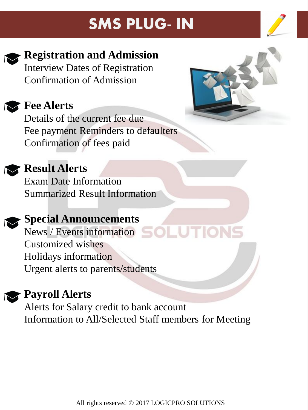## **SMS PLUG- IN**





## **Registration and Admission**

Interview Dates of Registration Confirmation of Admission

**Fee Alerts**

Details of the current fee due Fee payment Reminders to defaulters Confirmation of fees paid



## **Result Alerts**

Exam Date Information Summarized Result Information

## **Special Announcements**

News / Events information SOLUTIONS Customized wishes Holidays information Urgent alerts to parents/students

## **Payroll Alerts**

Alerts for Salary credit to bank account Information to All/Selected Staff members for Meeting

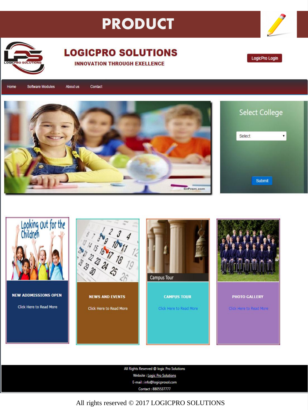## **PRODUCT**



#### **LOGICPRO SOLUTIONS INNOVATION THROUGH EXELLENCE**

LogicPro Login

Software Modules About us Contact Home



| <b>Select College</b> |  |
|-----------------------|--|
| Select                |  |
|                       |  |
|                       |  |
| <b>Submit</b>         |  |



**NEW ADDMISSIONS OPEN** Click Here to Read More







PHOTO GALLERY

Click Here to Read More

All Rights Reserved @ logic Pro Solutions Website : Logic Pro Solutions E-mail: info@logicprosol.com Contact: 8805537777